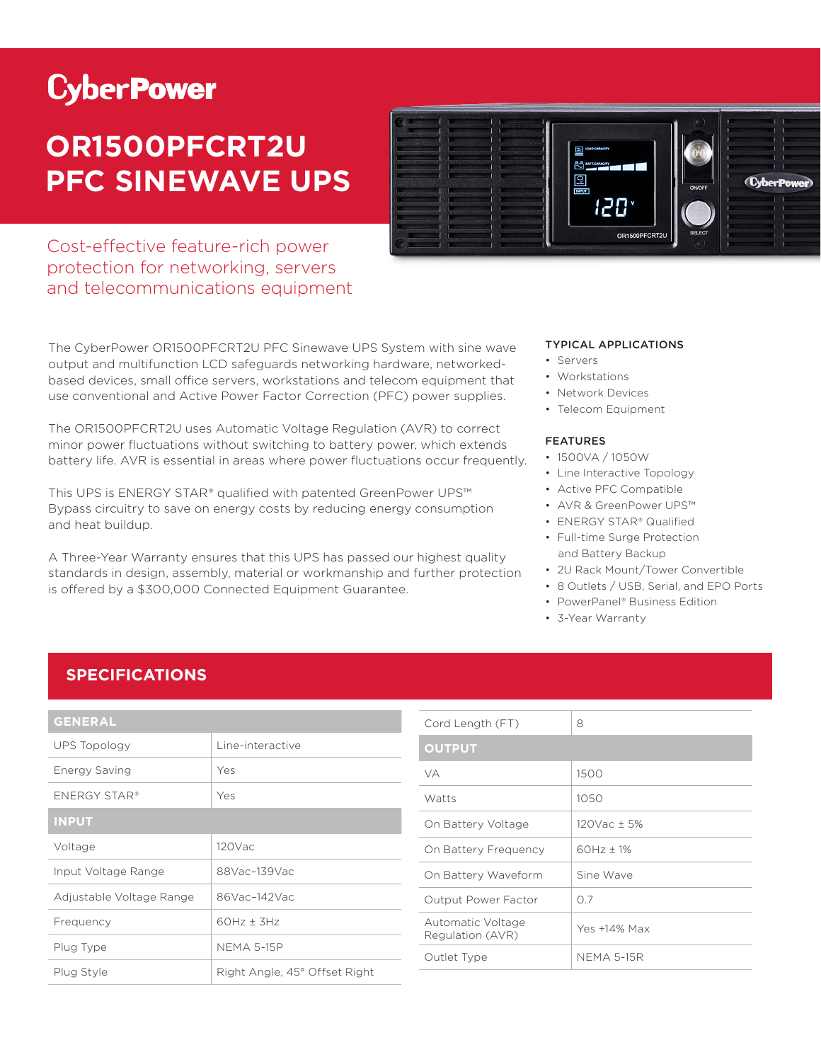# **CyberPower**

## **OR1500PFCRT2U PFC SINEWAVE UPS**

Cost-effective feature-rich power protection for networking, servers and telecommunications equipment

The CyberPower OR1500PFCRT2U PFC Sinewave UPS System with sine wave output and multifunction LCD safeguards networking hardware, networkedbased devices, small office servers, workstations and telecom equipment that use conventional and Active Power Factor Correction (PFC) power supplies.

The OR1500PFCRT2U uses Automatic Voltage Regulation (AVR) to correct minor power fluctuations without switching to battery power, which extends battery life. AVR is essential in areas where power fluctuations occur frequently.

This UPS is ENERGY STAR® qualified with patented GreenPower UPS™ Bypass circuitry to save on energy costs by reducing energy consumption and heat buildup.

A Three-Year Warranty ensures that this UPS has passed our highest quality standards in design, assembly, material or workmanship and further protection is offered by a \$300,000 Connected Equipment Guarantee.



#### TYPICAL APPLICATIONS

- Servers
- Workstations
- Network Devices
- Telecom Fauipment

#### FEATURES

- 1500VA / 1050W
- Line Interactive Topology
- Active PFC Compatible
- AVR & GreenPower UPS™
- ENERGY STAR® Qualified
- Full-time Surge Protection and Battery Backup
- 2U Rack Mount/Tower Convertible
- 8 Outlets / USB, Serial, and EPO Ports
- PowerPanel® Business Edition
- 3-Year Warranty

### **SPECIFICATIONS**

| <b>GENERAL</b>           |                               |  |
|--------------------------|-------------------------------|--|
| UPS Topology             | Line-interactive              |  |
| Energy Saving            | Yes                           |  |
| ENERGY STAR®             | Yes                           |  |
| <b>INPUT</b>             |                               |  |
| Voltage                  | 120Vac                        |  |
| Input Voltage Range      | 88Vac-139Vac                  |  |
| Adjustable Voltage Range | 86Vac-142Vac                  |  |
| Frequency                | $60Hz + 3Hz$                  |  |
| Plug Type                | <b>NEMA 5-15P</b>             |  |
| Plug Style               | Right Angle, 45° Offset Right |  |

| Cord Length (FT)                      | 8                 |
|---------------------------------------|-------------------|
| <b>OUTPUT</b>                         |                   |
| VA                                    | 1500              |
| Watts                                 | 1050              |
| On Battery Voltage                    | $120$ Vac + 5%    |
| On Battery Frequency                  | $60Hz + 1%$       |
| On Battery Waveform                   | Sine Wave         |
| Output Power Factor                   | O 7               |
| Automatic Voltage<br>Regulation (AVR) | Yes +14% Max      |
| Outlet Type                           | <b>NEMA 5-15R</b> |
|                                       |                   |